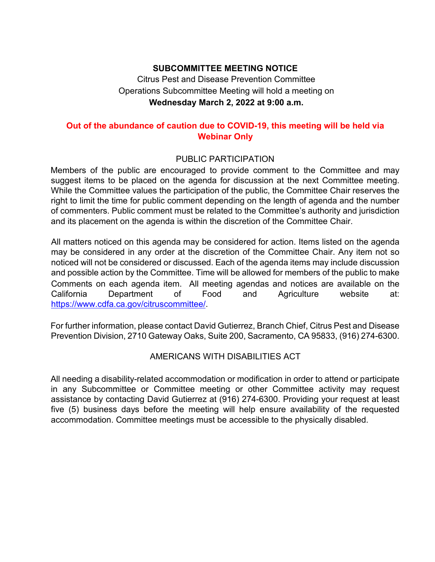## **SUBCOMMITTEE MEETING NOTICE**

 **Wednesday March 2, 2022 at 9:00 a.m.**  Citrus Pest and Disease Prevention Committee Operations Subcommittee Meeting will hold a meeting on

## **Out of the abundance of caution due to COVID-19, this meeting will be held via Webinar Only**

#### PUBLIC PARTICIPATION

 of commenters. Public comment must be related to the Committee's authority and jurisdiction Members of the public are encouraged to provide comment to the Committee and may suggest items to be placed on the agenda for discussion at the next Committee meeting. While the Committee values the participation of the public, the Committee Chair reserves the right to limit the time for public comment depending on the length of agenda and the number and its placement on the agenda is within the discretion of the Committee Chair.

 noticed will not be considered or discussed. Each of the agenda items may include discussion All matters noticed on this agenda may be considered for action. Items listed on the agenda may be considered in any order at the discretion of the Committee Chair. Any item not so and possible action by the Committee. Time will be allowed for members of the public to make Comments on each agenda item. All meeting agendas and notices are available on the California Department of Food and Agriculture website at: [https://www.cdfa.ca.gov/citruscommittee/](https://www.cdfa.ca.gov/citruscommittee).

For further information, please contact David Gutierrez, Branch Chief, Citrus Pest and Disease Prevention Division, 2710 Gateway Oaks, Suite 200, Sacramento, CA 95833, (916) 274-6300.

## AMERICANS WITH DISABILITIES ACT

AMERICANS WITH DISABILITIES ACT<br>All needing a disability-related accommodation or modification in order to attend or participate accommodation. Committee meetings must be accessible to the physically disabled. in any Subcommittee or Committee meeting or other Committee activity may request assistance by contacting David Gutierrez at (916) 274-6300. Providing your request at least five (5) business days before the meeting will help ensure availability of the requested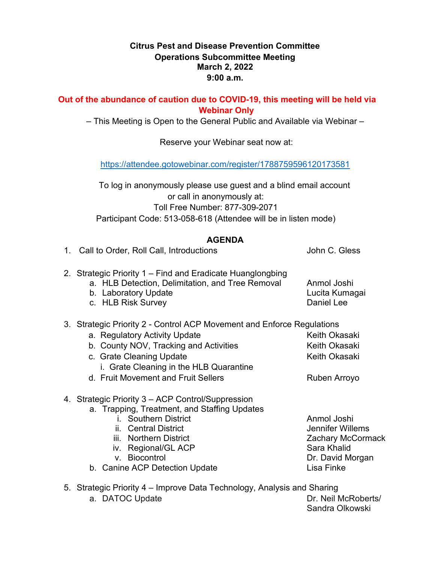## **March 2, 2022 Citrus Pest and Disease Prevention Committee Operations Subcommittee Meeting 9:00 a.m.**

#### **Out of the abundance of caution due to COVID-19, this meeting will be held via Webinar Only**

– This Meeting is Open to the General Public and Available via Webinar –

Reserve your Webinar seat now at:

[https://attendee.gotowebinar.com/register/1788759596120173581](https://gcc02.safelinks.protection.outlook.com/?url=https%3A%2F%2Fattendee.gotowebinar.com%2Fregister%2F1788759596120173581&data=04%7C01%7CDavid.Gutierrez%40cdfa.ca.gov%7Cbea1198659bb42221c1d08d8c8b071b2%7Cafdfd251a22248978cbaae68cabfffbc%7C0%7C0%7C637480007431111524%7CUnknown%7CTWFpbGZsb3d8eyJWIjoiMC4wLjAwMDAiLCJQIjoiV2luMzIiLCJBTiI6Ik1haWwiLCJXVCI6Mn0%3D%7C1000&sdata=SwotOJom%2F1ut7nY9foWrOMISoF4atmhEKlwREltLecY%3D&reserved=0) 

 or call in anonymously at: To log in anonymously please use guest and a blind email account Toll Free Number: 877-309-2071 Participant Code: 513-058-618 (Attendee will be in listen mode)

# **AGENDA**

| 1. Call to Order, Roll Call, Introductions                                                                                                                                                                                                                      | John C. Gless                                                                                                                |
|-----------------------------------------------------------------------------------------------------------------------------------------------------------------------------------------------------------------------------------------------------------------|------------------------------------------------------------------------------------------------------------------------------|
| 2. Strategic Priority 1 – Find and Eradicate Huanglongbing<br>a. HLB Detection, Delimitation, and Tree Removal<br>b. Laboratory Update<br>c. HLB Risk Survey                                                                                                    | Anmol Joshi<br>Lucita Kumagai<br>Daniel Lee                                                                                  |
| 3. Strategic Priority 2 - Control ACP Movement and Enforce Regulations<br>a. Regulatory Activity Update<br>b. County NOV, Tracking and Activities<br>c. Grate Cleaning Update<br>i. Grate Cleaning in the HLB Quarantine<br>d. Fruit Movement and Fruit Sellers | Keith Okasaki<br>Keith Okasaki<br><b>Keith Okasaki</b>                                                                       |
| 4. Strategic Priority 3 - ACP Control/Suppression<br>a. Trapping, Treatment, and Staffing Updates<br><i>i.</i> Southern District<br>ii. Central District<br>iii. Northern District<br>iv. Regional/GL ACP<br>v. Biocontrol<br>b. Canine ACP Detection Update    | Ruben Arroyo<br>Anmol Joshi<br><b>Jennifer Willems</b><br>Zachary McCormack<br>Sara Khalid<br>Dr. David Morgan<br>Lisa Finke |
| 5. Strategic Priority 4 – Improve Data Technology, Analysis and Sharing                                                                                                                                                                                         |                                                                                                                              |

a. DATOC Update **Dr. Neil McRoberts/** Sandra Olkowski